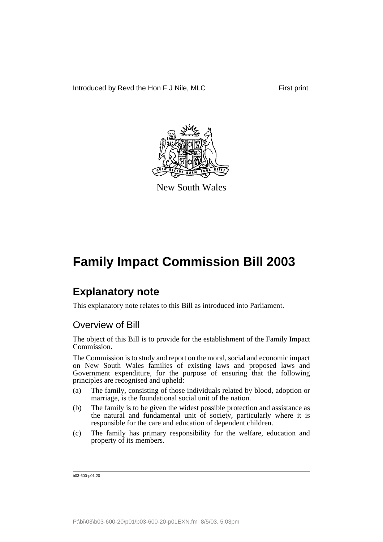

New South Wales

## **Explanatory note**

This explanatory note relates to this Bill as introduced into Parliament.

## Overview of Bill

The object of this Bill is to provide for the establishment of the Family Impact Commission.

The Commission is to study and report on the moral, social and economic impact on New South Wales families of existing laws and proposed laws and Government expenditure, for the purpose of ensuring that the following principles are recognised and upheld:

- (a) The family, consisting of those individuals related by blood, adoption or marriage, is the foundational social unit of the nation.
- (b) The family is to be given the widest possible protection and assistance as the natural and fundamental unit of society, particularly where it is responsible for the care and education of dependent children.
- (c) The family has primary responsibility for the welfare, education and property of its members.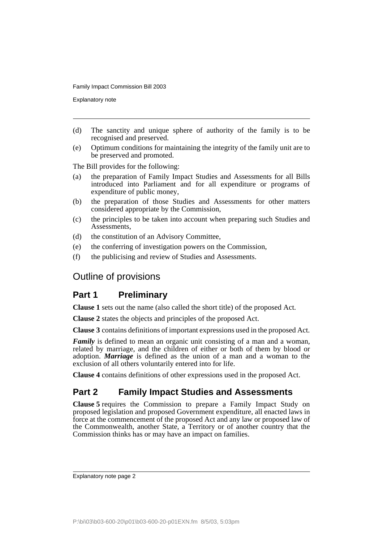Explanatory note

- (d) The sanctity and unique sphere of authority of the family is to be recognised and preserved.
- (e) Optimum conditions for maintaining the integrity of the family unit are to be preserved and promoted.

The Bill provides for the following:

- (a) the preparation of Family Impact Studies and Assessments for all Bills introduced into Parliament and for all expenditure or programs of expenditure of public money,
- (b) the preparation of those Studies and Assessments for other matters considered appropriate by the Commission,
- (c) the principles to be taken into account when preparing such Studies and Assessments,
- (d) the constitution of an Advisory Committee,
- (e) the conferring of investigation powers on the Commission,
- (f) the publicising and review of Studies and Assessments.

## Outline of provisions

## **Part 1 Preliminary**

**Clause 1** sets out the name (also called the short title) of the proposed Act.

**Clause 2** states the objects and principles of the proposed Act.

**Clause 3** contains definitions of important expressions used in the proposed Act.

*Family* is defined to mean an organic unit consisting of a man and a woman, related by marriage, and the children of either or both of them by blood or adoption. *Marriage* is defined as the union of a man and a woman to the exclusion of all others voluntarily entered into for life.

**Clause 4** contains definitions of other expressions used in the proposed Act.

## **Part 2 Family Impact Studies and Assessments**

**Clause 5** requires the Commission to prepare a Family Impact Study on proposed legislation and proposed Government expenditure, all enacted laws in force at the commencement of the proposed Act and any law or proposed law of the Commonwealth, another State, a Territory or of another country that the Commission thinks has or may have an impact on families.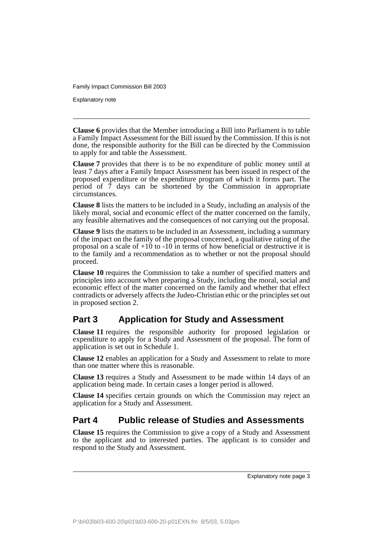Explanatory note

**Clause 6** provides that the Member introducing a Bill into Parliament is to table a Family Impact Assessment for the Bill issued by the Commission. If this is not done, the responsible authority for the Bill can be directed by the Commission to apply for and table the Assessment.

**Clause 7** provides that there is to be no expenditure of public money until at least 7 days after a Family Impact Assessment has been issued in respect of the proposed expenditure or the expenditure program of which it forms part. The period of 7 days can be shortened by the Commission in appropriate circumstances.

**Clause 8** lists the matters to be included in a Study, including an analysis of the likely moral, social and economic effect of the matter concerned on the family, any feasible alternatives and the consequences of not carrying out the proposal.

**Clause 9** lists the matters to be included in an Assessment, including a summary of the impact on the family of the proposal concerned, a qualitative rating of the proposal on a scale of +10 to -10 in terms of how beneficial or destructive it is to the family and a recommendation as to whether or not the proposal should proceed.

**Clause 10** requires the Commission to take a number of specified matters and principles into account when preparing a Study, including the moral, social and economic effect of the matter concerned on the family and whether that effect contradicts or adversely affects the Judeo-Christian ethic or the principles set out in proposed section 2.

## **Part 3 Application for Study and Assessment**

**Clause 11** requires the responsible authority for proposed legislation or expenditure to apply for a Study and Assessment of the proposal. The form of application is set out in Schedule 1.

**Clause 12** enables an application for a Study and Assessment to relate to more than one matter where this is reasonable.

**Clause 13** requires a Study and Assessment to be made within 14 days of an application being made. In certain cases a longer period is allowed.

**Clause 14** specifies certain grounds on which the Commission may reject an application for a Study and Assessment.

## **Part 4 Public release of Studies and Assessments**

**Clause 15** requires the Commission to give a copy of a Study and Assessment to the applicant and to interested parties. The applicant is to consider and respond to the Study and Assessment.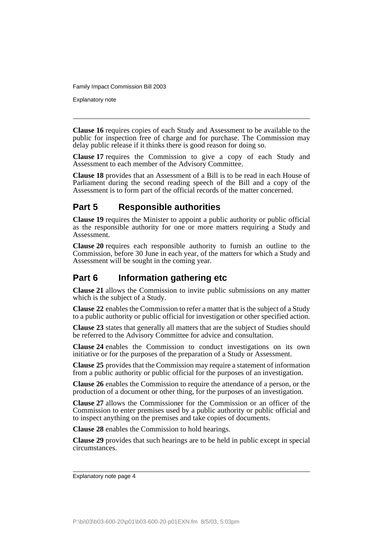Explanatory note

**Clause 16** requires copies of each Study and Assessment to be available to the public for inspection free of charge and for purchase. The Commission may delay public release if it thinks there is good reason for doing so.

**Clause 17** requires the Commission to give a copy of each Study and Assessment to each member of the Advisory Committee.

**Clause 18** provides that an Assessment of a Bill is to be read in each House of Parliament during the second reading speech of the Bill and a copy of the Assessment is to form part of the official records of the matter concerned.

## **Part 5 Responsible authorities**

**Clause 19** requires the Minister to appoint a public authority or public official as the responsible authority for one or more matters requiring a Study and Assessment.

**Clause 20** requires each responsible authority to furnish an outline to the Commission, before 30 June in each year, of the matters for which a Study and Assessment will be sought in the coming year.

## **Part 6 Information gathering etc**

**Clause 21** allows the Commission to invite public submissions on any matter which is the subject of a Study.

**Clause 22** enables the Commission to refer a matter that is the subject of a Study to a public authority or public official for investigation or other specified action.

**Clause 23** states that generally all matters that are the subject of Studies should be referred to the Advisory Committee for advice and consultation.

**Clause 24** enables the Commission to conduct investigations on its own initiative or for the purposes of the preparation of a Study or Assessment.

**Clause 25** provides that the Commission may require a statement of information from a public authority or public official for the purposes of an investigation.

**Clause 26** enables the Commission to require the attendance of a person, or the production of a document or other thing, for the purposes of an investigation.

**Clause 27** allows the Commissioner for the Commission or an officer of the Commission to enter premises used by a public authority or public official and to inspect anything on the premises and take copies of documents.

**Clause 28** enables the Commission to hold hearings.

**Clause 29** provides that such hearings are to be held in public except in special circumstances.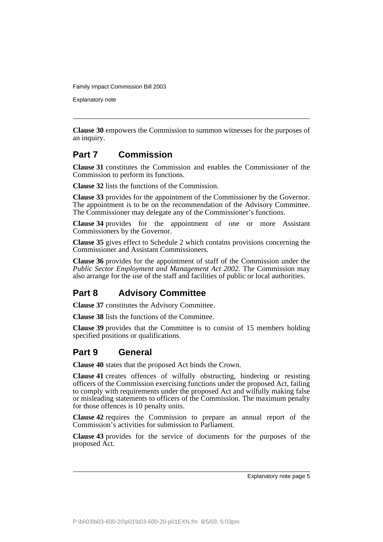Explanatory note

**Clause 30** empowers the Commission to summon witnesses for the purposes of an inquiry.

## **Part 7 Commission**

**Clause 31** constitutes the Commission and enables the Commissioner of the Commission to perform its functions.

**Clause 32** lists the functions of the Commission.

**Clause 33** provides for the appointment of the Commissioner by the Governor. The appointment is to be on the recommendation of the Advisory Committee. The Commissioner may delegate any of the Commissioner's functions.

**Clause 34** provides for the appointment of one or more Assistant Commissioners by the Governor.

**Clause 35** gives effect to Schedule 2 which contains provisions concerning the Commissioner and Assistant Commissioners.

**Clause 36** provides for the appointment of staff of the Commission under the *Public Sector Employment and Management Act 2002*. The Commission may also arrange for the use of the staff and facilities of public or local authorities.

## **Part 8 Advisory Committee**

**Clause 37** constitutes the Advisory Committee.

**Clause 38** lists the functions of the Committee.

**Clause 39** provides that the Committee is to consist of 15 members holding specified positions or qualifications.

## **Part 9 General**

**Clause 40** states that the proposed Act binds the Crown.

**Clause 41** creates offences of wilfully obstructing, hindering or resisting officers of the Commission exercising functions under the proposed Act, failing to comply with requirements under the proposed Act and wilfully making false or misleading statements to officers of the Commission. The maximum penalty for those offences is 10 penalty units.

**Clause 42** requires the Commission to prepare an annual report of the Commission's activities for submission to Parliament.

**Clause 43** provides for the service of documents for the purposes of the proposed Act.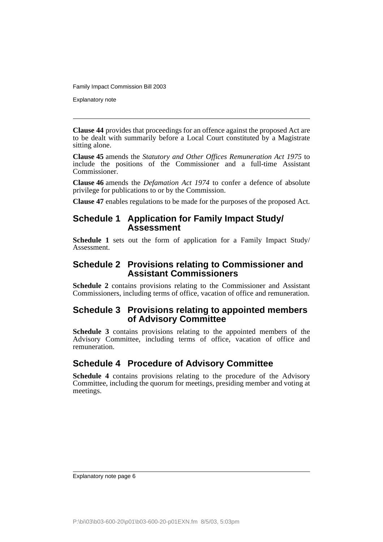Explanatory note

**Clause 44** provides that proceedings for an offence against the proposed Act are to be dealt with summarily before a Local Court constituted by a Magistrate sitting alone.

**Clause 45** amends the *Statutory and Other Offices Remuneration Act 1975* to include the positions of the Commissioner and a full-time Assistant Commissioner.

**Clause 46** amends the *Defamation Act 1974* to confer a defence of absolute privilege for publications to or by the Commission.

**Clause 47** enables regulations to be made for the purposes of the proposed Act.

## **Schedule 1 Application for Family Impact Study/ Assessment**

**Schedule 1** sets out the form of application for a Family Impact Study/ Assessment.

## **Schedule 2 Provisions relating to Commissioner and Assistant Commissioners**

**Schedule 2** contains provisions relating to the Commissioner and Assistant Commissioners, including terms of office, vacation of office and remuneration.

### **Schedule 3 Provisions relating to appointed members of Advisory Committee**

**Schedule 3** contains provisions relating to the appointed members of the Advisory Committee, including terms of office, vacation of office and remuneration.

## **Schedule 4 Procedure of Advisory Committee**

**Schedule 4** contains provisions relating to the procedure of the Advisory Committee, including the quorum for meetings, presiding member and voting at meetings.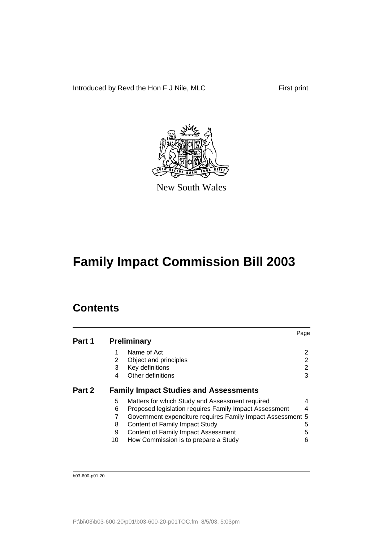Introduced by Revd the Hon F J Nile, MLC First print



New South Wales

## **Family Impact Commission Bill 2003**

## **Contents**

|        |    |                                                            | Page |
|--------|----|------------------------------------------------------------|------|
| Part 1 |    | <b>Preliminary</b>                                         |      |
|        |    | Name of Act                                                | 2    |
|        | 2  | Object and principles                                      | 2    |
|        | 3  | Key definitions                                            | 2    |
|        | 4  | Other definitions                                          | 3    |
| Part 2 |    | <b>Family Impact Studies and Assessments</b>               |      |
|        | 5  | Matters for which Study and Assessment required            | 4    |
|        | 6  | Proposed legislation requires Family Impact Assessment     | 4    |
|        |    | Government expenditure requires Family Impact Assessment 5 |      |
|        | 8  | Content of Family Impact Study                             | 5    |
|        | 9  | <b>Content of Family Impact Assessment</b>                 | 5    |
|        | 10 | How Commission is to prepare a Study                       | 6    |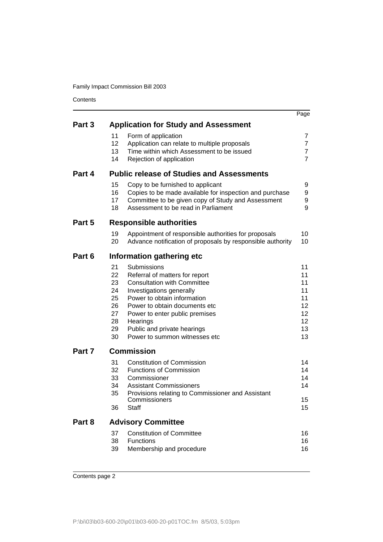Contents

|        |                                                          |                                                                                                                                                                                                                                                                                               | Page                                                     |
|--------|----------------------------------------------------------|-----------------------------------------------------------------------------------------------------------------------------------------------------------------------------------------------------------------------------------------------------------------------------------------------|----------------------------------------------------------|
| Part 3 |                                                          | <b>Application for Study and Assessment</b>                                                                                                                                                                                                                                                   |                                                          |
|        | 11<br>12<br>13<br>14                                     | Form of application<br>Application can relate to multiple proposals<br>Time within which Assessment to be issued<br>Rejection of application                                                                                                                                                  | 7<br>7<br>7<br>$\overline{7}$                            |
| Part 4 |                                                          | <b>Public release of Studies and Assessments</b>                                                                                                                                                                                                                                              |                                                          |
|        | 15<br>16<br>17<br>18                                     | Copy to be furnished to applicant<br>Copies to be made available for inspection and purchase<br>Committee to be given copy of Study and Assessment<br>Assessment to be read in Parliament                                                                                                     | 9<br>9<br>9<br>9                                         |
| Part 5 |                                                          | <b>Responsible authorities</b>                                                                                                                                                                                                                                                                |                                                          |
|        | 19<br>20                                                 | Appointment of responsible authorities for proposals<br>Advance notification of proposals by responsible authority                                                                                                                                                                            | 10<br>10                                                 |
| Part 6 |                                                          | Information gathering etc                                                                                                                                                                                                                                                                     |                                                          |
|        | 21<br>22<br>23<br>24<br>25<br>26<br>27<br>28<br>29<br>30 | Submissions<br>Referral of matters for report<br><b>Consultation with Committee</b><br>Investigations generally<br>Power to obtain information<br>Power to obtain documents etc<br>Power to enter public premises<br>Hearings<br>Public and private hearings<br>Power to summon witnesses etc | 11<br>11<br>11<br>11<br>11<br>12<br>12<br>12<br>13<br>13 |
| Part 7 |                                                          | <b>Commission</b>                                                                                                                                                                                                                                                                             |                                                          |
|        | 31<br>32<br>33<br>34<br>35<br>36                         | <b>Constitution of Commission</b><br><b>Functions of Commission</b><br>Commissioner<br><b>Assistant Commissioners</b><br>Provisions relating to Commissioner and Assistant<br>Commissioners<br>Staff                                                                                          | 14<br>14<br>14<br>14<br>15<br>15                         |
| Part 8 |                                                          | <b>Advisory Committee</b>                                                                                                                                                                                                                                                                     |                                                          |
|        | 37<br>38<br>39                                           | <b>Constitution of Committee</b><br>Functions<br>Membership and procedure                                                                                                                                                                                                                     | 16<br>16<br>16                                           |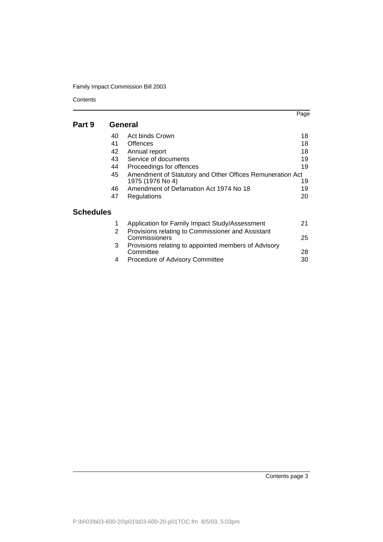Contents

|           |    |                                                                               | Page |
|-----------|----|-------------------------------------------------------------------------------|------|
| Part 9    |    | General                                                                       |      |
|           | 40 | Act binds Crown                                                               | 18   |
|           | 41 | Offences                                                                      | 18   |
|           | 42 | Annual report                                                                 | 18   |
|           | 43 | Service of documents                                                          | 19   |
|           | 44 | Proceedings for offences                                                      | 19   |
|           | 45 | Amendment of Statutory and Other Offices Remuneration Act<br>1975 (1976 No 4) | 19   |
|           | 46 | Amendment of Defamation Act 1974 No 18                                        | 19   |
|           | 47 | Regulations                                                                   | 20   |
| Schedules |    |                                                                               |      |
|           | 1  | Application for Family Impact Study/Assessment                                | 21   |
|           | 2  | Provisions relating to Commissioner and Assistant<br>Commissioners            | 25   |
|           | 3  | Provisions relating to appointed members of Advisory<br>Committee             | 28   |
|           | 4  | Procedure of Advisory Committee                                               | 30   |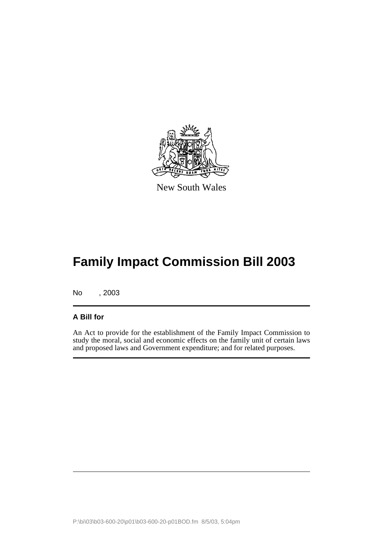

New South Wales

No , 2003

### **A Bill for**

An Act to provide for the establishment of the Family Impact Commission to study the moral, social and economic effects on the family unit of certain laws and proposed laws and Government expenditure; and for related purposes.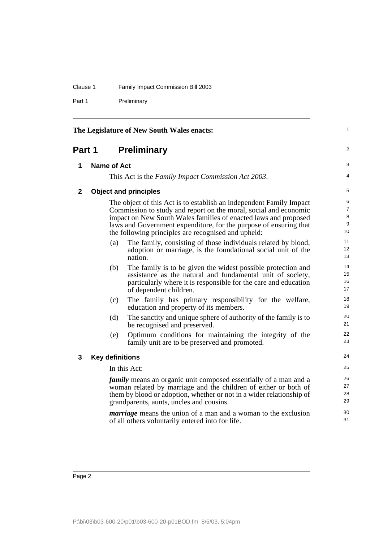#### Clause 1 Family Impact Commission Bill 2003

Part 1 Preliminary

<span id="page-11-3"></span><span id="page-11-2"></span><span id="page-11-1"></span><span id="page-11-0"></span>

| The Legislature of New South Wales enacts: |                        |                                                                                                                                                                                                                                                                                                                                                                                                         | 1                                         |
|--------------------------------------------|------------------------|---------------------------------------------------------------------------------------------------------------------------------------------------------------------------------------------------------------------------------------------------------------------------------------------------------------------------------------------------------------------------------------------------------|-------------------------------------------|
| Part 1                                     |                        | <b>Preliminary</b>                                                                                                                                                                                                                                                                                                                                                                                      | 2                                         |
| 1                                          | <b>Name of Act</b>     |                                                                                                                                                                                                                                                                                                                                                                                                         | 3                                         |
|                                            |                        | This Act is the Family Impact Commission Act 2003.                                                                                                                                                                                                                                                                                                                                                      | 4                                         |
| $\mathbf{2}$                               |                        | <b>Object and principles</b>                                                                                                                                                                                                                                                                                                                                                                            | 5                                         |
|                                            | (a)                    | The object of this Act is to establish an independent Family Impact<br>Commission to study and report on the moral, social and economic<br>impact on New South Wales families of enacted laws and proposed<br>laws and Government expenditure, for the purpose of ensuring that<br>the following principles are recognised and upheld:<br>The family, consisting of those individuals related by blood, | 6<br>$\overline{7}$<br>8<br>9<br>10<br>11 |
|                                            |                        | adoption or marriage, is the foundational social unit of the<br>nation.                                                                                                                                                                                                                                                                                                                                 | 12<br>13                                  |
|                                            | (b)                    | The family is to be given the widest possible protection and<br>assistance as the natural and fundamental unit of society,<br>particularly where it is responsible for the care and education<br>of dependent children.                                                                                                                                                                                 | 14<br>15<br>16<br>17                      |
|                                            | (c)                    | The family has primary responsibility for the welfare,<br>education and property of its members.                                                                                                                                                                                                                                                                                                        | 18<br>19                                  |
|                                            | (d)                    | The sanctity and unique sphere of authority of the family is to<br>be recognised and preserved.                                                                                                                                                                                                                                                                                                         | 20<br>21                                  |
|                                            | (e)                    | Optimum conditions for maintaining the integrity of the<br>family unit are to be preserved and promoted.                                                                                                                                                                                                                                                                                                | 22<br>23                                  |
| 3                                          | <b>Key definitions</b> |                                                                                                                                                                                                                                                                                                                                                                                                         | 24                                        |
|                                            |                        | In this Act:                                                                                                                                                                                                                                                                                                                                                                                            | 25                                        |
|                                            |                        | <i>family</i> means an organic unit composed essentially of a man and a<br>woman related by marriage and the children of either or both of<br>them by blood or adoption, whether or not in a wider relationship of<br>grandparents, aunts, uncles and cousins.                                                                                                                                          | 26<br>27<br>28<br>29                      |
|                                            |                        | <i>marriage</i> means the union of a man and a woman to the exclusion<br>of all others voluntarily entered into for life.                                                                                                                                                                                                                                                                               | 30<br>31                                  |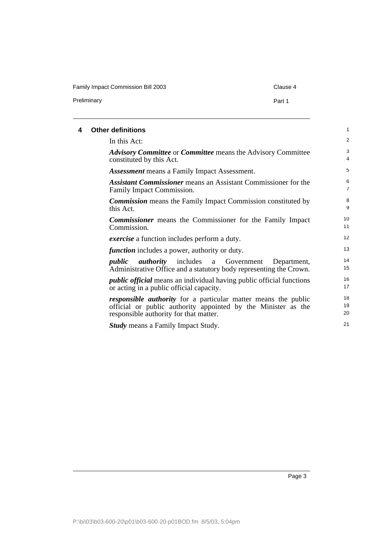## Family Impact Commission Bill 2003 Clause 4 Preliminary **Preliminary** Part 1

<span id="page-12-0"></span>

| 4 | <b>Other definitions</b>                                                                                                                                                         | 1                   |
|---|----------------------------------------------------------------------------------------------------------------------------------------------------------------------------------|---------------------|
|   | In this Act:                                                                                                                                                                     | 2                   |
|   | <b>Advisory Committee or Committee means the Advisory Committee</b><br>constituted by this Act.                                                                                  | 3<br>4              |
|   | <b>Assessment</b> means a Family Impact Assessment.                                                                                                                              | 5                   |
|   | <b>Assistant Commissioner</b> means an Assistant Commissioner for the<br>Family Impact Commission.                                                                               | 6<br>$\overline{7}$ |
|   | <b>Commission</b> means the Family Impact Commission constituted by<br>this Act.                                                                                                 | 8<br>9              |
|   | <b>Commissioner</b> means the Commissioner for the Family Impact<br>Commission.                                                                                                  | 10<br>11            |
|   | <i>exercise</i> a function includes perform a duty.                                                                                                                              | 12                  |
|   | <i>function</i> includes a power, authority or duty.                                                                                                                             | 13                  |
|   | <i>authority</i> includes a Government<br>public<br>Department,<br>Administrative Office and a statutory body representing the Crown.                                            | 14<br>15            |
|   | <i>public official</i> means an individual having public official functions<br>or acting in a public official capacity.                                                          | 16<br>17            |
|   | <i>responsible authority</i> for a particular matter means the public<br>official or public authority appointed by the Minister as the<br>responsible authority for that matter. | 18<br>19<br>20      |
|   | <b>Study</b> means a Family Impact Study.                                                                                                                                        | 21                  |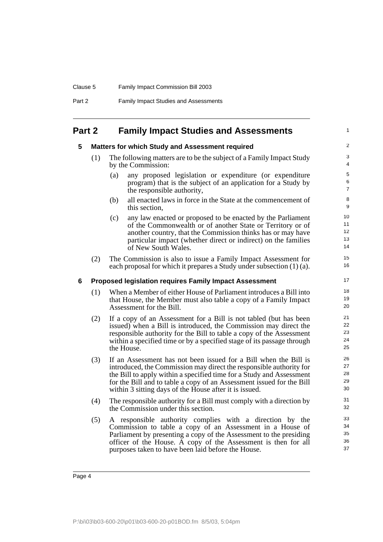| Clause 5 | <b>Family Impact Commission Bill 2003</b>    |
|----------|----------------------------------------------|
| Part 2   | <b>Family Impact Studies and Assessments</b> |

## <span id="page-13-1"></span><span id="page-13-0"></span>**Part 2 Family Impact Studies and Assessments**

#### **5 Matters for which Study and Assessment required**

- (1) The following matters are to be the subject of a Family Impact Study by the Commission:
	- (a) any proposed legislation or expenditure (or expenditure program) that is the subject of an application for a Study by the responsible authority,

1

- (b) all enacted laws in force in the State at the commencement of this section,
- (c) any law enacted or proposed to be enacted by the Parliament of the Commonwealth or of another State or Territory or of another country, that the Commission thinks has or may have particular impact (whether direct or indirect) on the families of New South Wales.
- (2) The Commission is also to issue a Family Impact Assessment for each proposal for which it prepares a Study under subsection (1) (a).

#### <span id="page-13-2"></span>**6 Proposed legislation requires Family Impact Assessment**

- (1) When a Member of either House of Parliament introduces a Bill into that House, the Member must also table a copy of a Family Impact Assessment for the Bill.
- (2) If a copy of an Assessment for a Bill is not tabled (but has been issued) when a Bill is introduced, the Commission may direct the responsible authority for the Bill to table a copy of the Assessment within a specified time or by a specified stage of its passage through the House.
- (3) If an Assessment has not been issued for a Bill when the Bill is introduced, the Commission may direct the responsible authority for the Bill to apply within a specified time for a Study and Assessment for the Bill and to table a copy of an Assessment issued for the Bill within 3 sitting days of the House after it is issued.
- (4) The responsible authority for a Bill must comply with a direction by the Commission under this section.
- (5) A responsible authority complies with a direction by the Commission to table a copy of an Assessment in a House of Parliament by presenting a copy of the Assessment to the presiding officer of the House. A copy of the Assessment is then for all purposes taken to have been laid before the House.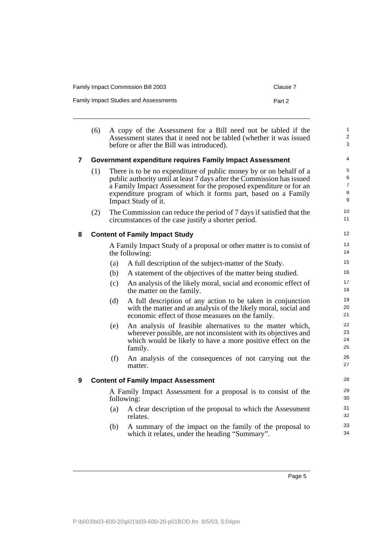| <b>Family Impact Commission Bill 2003</b>    | Clause 7 |
|----------------------------------------------|----------|
| <b>Family Impact Studies and Assessments</b> | Part 2   |

<span id="page-14-2"></span><span id="page-14-1"></span><span id="page-14-0"></span>

|                         | (6)                                                                          |     | A copy of the Assessment for a Bill need not be tabled if the<br>Assessment states that it need not be tabled (whether it was issued<br>before or after the Bill was introduced).                                                                                                                         | $\mathbf{1}$<br>$\overline{2}$<br>3 |
|-------------------------|------------------------------------------------------------------------------|-----|-----------------------------------------------------------------------------------------------------------------------------------------------------------------------------------------------------------------------------------------------------------------------------------------------------------|-------------------------------------|
| $\overline{\mathbf{z}}$ | Government expenditure requires Family Impact Assessment                     |     |                                                                                                                                                                                                                                                                                                           | 4                                   |
|                         | (1)                                                                          |     | There is to be no expenditure of public money by or on behalf of a<br>public authority until at least 7 days after the Commission has issued<br>a Family Impact Assessment for the proposed expenditure or for an<br>expenditure program of which it forms part, based on a Family<br>Impact Study of it. | 5<br>6<br>$\overline{7}$<br>8<br>9  |
|                         | (2)                                                                          |     | The Commission can reduce the period of 7 days if satisfied that the<br>circumstances of the case justify a shorter period.                                                                                                                                                                               | 10<br>11                            |
| 8                       |                                                                              |     | <b>Content of Family Impact Study</b>                                                                                                                                                                                                                                                                     | 12                                  |
|                         |                                                                              |     | A Family Impact Study of a proposal or other matter is to consist of<br>the following:                                                                                                                                                                                                                    | 13<br>14                            |
|                         |                                                                              | (a) | A full description of the subject-matter of the Study.                                                                                                                                                                                                                                                    | 15                                  |
|                         |                                                                              | (b) | A statement of the objectives of the matter being studied.                                                                                                                                                                                                                                                | 16                                  |
|                         |                                                                              | (c) | An analysis of the likely moral, social and economic effect of<br>the matter on the family.                                                                                                                                                                                                               | 17<br>18                            |
|                         |                                                                              | (d) | A full description of any action to be taken in conjunction<br>with the matter and an analysis of the likely moral, social and<br>economic effect of those measures on the family.                                                                                                                        | 19<br>20<br>21                      |
|                         |                                                                              | (e) | An analysis of feasible alternatives to the matter which,<br>wherever possible, are not inconsistent with its objectives and<br>which would be likely to have a more positive effect on the<br>family.                                                                                                    | 22<br>23<br>24<br>25                |
|                         |                                                                              | (f) | An analysis of the consequences of not carrying out the<br>matter.                                                                                                                                                                                                                                        | 26<br>27                            |
| 9                       | <b>Content of Family Impact Assessment</b>                                   |     |                                                                                                                                                                                                                                                                                                           | 28                                  |
|                         | A Family Impact Assessment for a proposal is to consist of the<br>following: |     | 29<br>30                                                                                                                                                                                                                                                                                                  |                                     |
|                         |                                                                              | (a) | A clear description of the proposal to which the Assessment<br>relates.                                                                                                                                                                                                                                   | 31<br>32                            |
|                         |                                                                              | (b) | A summary of the impact on the family of the proposal to<br>which it relates, under the heading "Summary".                                                                                                                                                                                                | 33<br>34                            |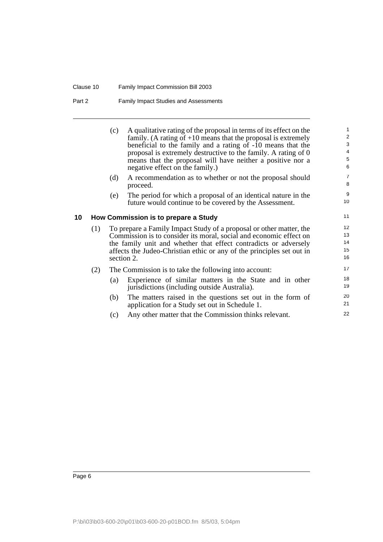#### Clause 10 Family Impact Commission Bill 2003

#### Part 2 Family Impact Studies and Assessments

<span id="page-15-0"></span>(c) A qualitative rating of the proposal in terms of its effect on the family. (A rating of  $+10$  means that the proposal is extremely beneficial to the family and a rating of -10 means that the proposal is extremely destructive to the family. A rating of 0 means that the proposal will have neither a positive nor a negative effect on the family.) (d) A recommendation as to whether or not the proposal should proceed. (e) The period for which a proposal of an identical nature in the future would continue to be covered by the Assessment. **10 How Commission is to prepare a Study** (1) To prepare a Family Impact Study of a proposal or other matter, the Commission is to consider its moral, social and economic effect on the family unit and whether that effect contradicts or adversely affects the Judeo-Christian ethic or any of the principles set out in section 2. (2) The Commission is to take the following into account: (a) Experience of similar matters in the State and in other jurisdictions (including outside Australia). (b) The matters raised in the questions set out in the form of application for a Study set out in Schedule 1. 1 2 3  $\overline{A}$ 5 6 7 8 9 10 11 12 13 14 15 16 17 18 19 20 21 22

(c) Any other matter that the Commission thinks relevant.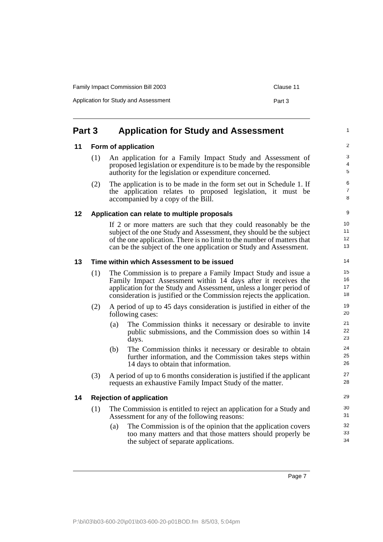| <b>Family Impact Commission Bill 2003</b> | Clause 11 |
|-------------------------------------------|-----------|
| Application for Study and Assessment      | Part 3    |

## <span id="page-16-0"></span>**Part 3 Application for Study and Assessment**

#### <span id="page-16-1"></span>**11 Form of application**

| (1) | An application for a Family Impact Study and Assessment of           |
|-----|----------------------------------------------------------------------|
|     | proposed legislation or expenditure is to be made by the responsible |
|     | authority for the legislation or expenditure concerned.              |

(2) The application is to be made in the form set out in Schedule 1. If the application relates to proposed legislation, it must be accompanied by a copy of the Bill.

#### <span id="page-16-2"></span>**12 Application can relate to multiple proposals**

If 2 or more matters are such that they could reasonably be the subject of the one Study and Assessment, they should be the subject of the one application. There is no limit to the number of matters that can be the subject of the one application or Study and Assessment.

#### <span id="page-16-3"></span>**13 Time within which Assessment to be issued**

- (1) The Commission is to prepare a Family Impact Study and issue a Family Impact Assessment within 14 days after it receives the application for the Study and Assessment, unless a longer period of consideration is justified or the Commission rejects the application.
- (2) A period of up to 45 days consideration is justified in either of the following cases:
	- (a) The Commission thinks it necessary or desirable to invite public submissions, and the Commission does so within 14 days.
	- (b) The Commission thinks it necessary or desirable to obtain further information, and the Commission takes steps within 14 days to obtain that information.
- (3) A period of up to 6 months consideration is justified if the applicant requests an exhaustive Family Impact Study of the matter.

#### <span id="page-16-4"></span>**14 Rejection of application**

- (1) The Commission is entitled to reject an application for a Study and Assessment for any of the following reasons:
	- (a) The Commission is of the opinion that the application covers too many matters and that those matters should properly be the subject of separate applications.

Page 7

1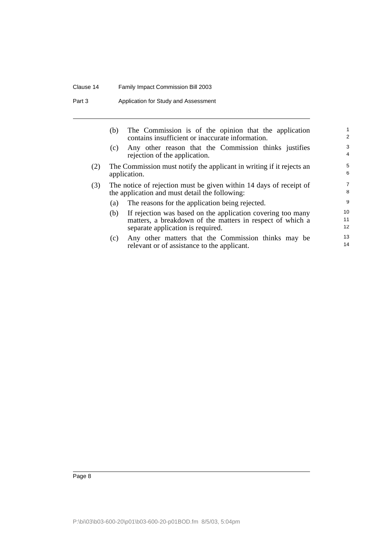#### Clause 14 Family Impact Commission Bill 2003

Part 3 Application for Study and Assessment

|     | (b)                                                                                  | The Commission is of the opinion that the application<br>contains insufficient or inaccurate information.            | 2                   |
|-----|--------------------------------------------------------------------------------------|----------------------------------------------------------------------------------------------------------------------|---------------------|
|     | (c)                                                                                  | Any other reason that the Commission thinks justifies<br>rejection of the application.                               | 3<br>4              |
| (2) | The Commission must notify the applicant in writing if it rejects an<br>application. |                                                                                                                      |                     |
| (3) |                                                                                      | The notice of rejection must be given within 14 days of receipt of<br>the application and must detail the following: | $\overline{7}$<br>8 |
|     | (a)                                                                                  | The reasons for the application being rejected.                                                                      | 9                   |
|     | (b)                                                                                  | If rejection was based on the application covering too many                                                          | 10                  |
|     |                                                                                      | matters, a breakdown of the matters in respect of which a                                                            | 11                  |
|     |                                                                                      | separate application is required.                                                                                    | 12 <sup>2</sup>     |
|     | (c)                                                                                  | Any other matters that the Commission thinks may be                                                                  | 13                  |
|     |                                                                                      | relevant or of assistance to the applicant.                                                                          | 14                  |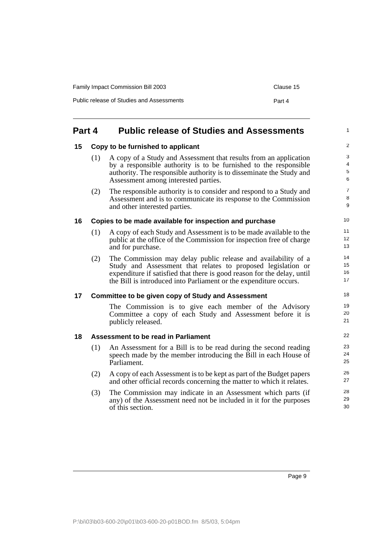| <b>Family Impact Commission Bill 2003</b> | Clause 15 |
|-------------------------------------------|-----------|
| Public release of Studies and Assessments | Part 4    |

## <span id="page-18-0"></span>**Part 4 Public release of Studies and Assessments**

#### <span id="page-18-1"></span>**15 Copy to be furnished to applicant**

| (1) | A copy of a Study and Assessment that results from an application<br>by a responsible authority is to be furnished to the responsible<br>authority. The responsible authority is to disseminate the Study and<br>Assessment among interested parties. |  |
|-----|-------------------------------------------------------------------------------------------------------------------------------------------------------------------------------------------------------------------------------------------------------|--|
|     |                                                                                                                                                                                                                                                       |  |

(2) The responsible authority is to consider and respond to a Study and Assessment and is to communicate its response to the Commission and other interested parties.

#### <span id="page-18-2"></span>**16 Copies to be made available for inspection and purchase**

- (1) A copy of each Study and Assessment is to be made available to the public at the office of the Commission for inspection free of charge and for purchase.
- (2) The Commission may delay public release and availability of a Study and Assessment that relates to proposed legislation or expenditure if satisfied that there is good reason for the delay, until the Bill is introduced into Parliament or the expenditure occurs.

#### <span id="page-18-3"></span>**17 Committee to be given copy of Study and Assessment**

The Commission is to give each member of the Advisory Committee a copy of each Study and Assessment before it is publicly released.

#### <span id="page-18-4"></span>**18 Assessment to be read in Parliament**

- (1) An Assessment for a Bill is to be read during the second reading speech made by the member introducing the Bill in each House of Parliament.
- (2) A copy of each Assessment is to be kept as part of the Budget papers and other official records concerning the matter to which it relates.
- (3) The Commission may indicate in an Assessment which parts (if any) of the Assessment need not be included in it for the purposes of this section.

1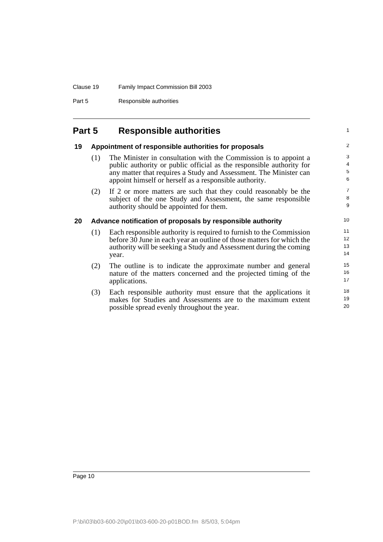Part 5 Responsible authorities

## <span id="page-19-0"></span>**Part 5 Responsible authorities**

### <span id="page-19-1"></span>**19 Appointment of responsible authorities for proposals**

(1) The Minister in consultation with the Commission is to appoint a public authority or public official as the responsible authority for any matter that requires a Study and Assessment. The Minister can appoint himself or herself as a responsible authority.

1

(2) If 2 or more matters are such that they could reasonably be the subject of the one Study and Assessment, the same responsible authority should be appointed for them.

#### <span id="page-19-2"></span>**20 Advance notification of proposals by responsible authority**

- (1) Each responsible authority is required to furnish to the Commission before  $3\overline{0}$  June in each year an outline of those matters for which the authority will be seeking a Study and Assessment during the coming year.
- (2) The outline is to indicate the approximate number and general nature of the matters concerned and the projected timing of the applications.
- (3) Each responsible authority must ensure that the applications it makes for Studies and Assessments are to the maximum extent possible spread evenly throughout the year.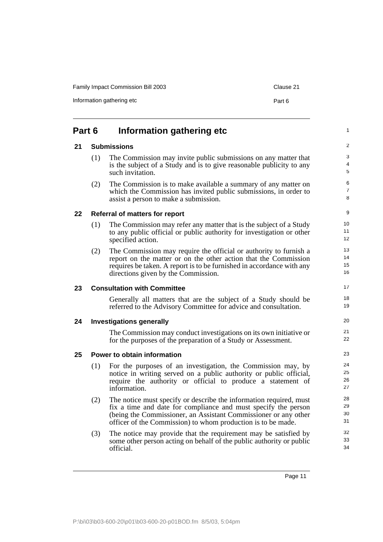<span id="page-20-5"></span><span id="page-20-4"></span><span id="page-20-3"></span><span id="page-20-2"></span><span id="page-20-1"></span><span id="page-20-0"></span>

| Part 6 |                                 | Information gathering etc                                                                                                                                                                                                                                               |  |  |
|--------|---------------------------------|-------------------------------------------------------------------------------------------------------------------------------------------------------------------------------------------------------------------------------------------------------------------------|--|--|
| 21     |                                 | <b>Submissions</b>                                                                                                                                                                                                                                                      |  |  |
|        | (1)                             | The Commission may invite public submissions on any matter that<br>is the subject of a Study and is to give reasonable publicity to any<br>such invitation.                                                                                                             |  |  |
|        | (2)                             | The Commission is to make available a summary of any matter on<br>which the Commission has invited public submissions, in order to<br>assist a person to make a submission.                                                                                             |  |  |
| 22     |                                 | <b>Referral of matters for report</b>                                                                                                                                                                                                                                   |  |  |
|        | (1)                             | The Commission may refer any matter that is the subject of a Study<br>to any public official or public authority for investigation or other<br>specified action.                                                                                                        |  |  |
|        | (2)                             | The Commission may require the official or authority to furnish a<br>report on the matter or on the other action that the Commission<br>requires be taken. A report is to be furnished in accordance with any<br>directions given by the Commission.                    |  |  |
| 23     |                                 | <b>Consultation with Committee</b>                                                                                                                                                                                                                                      |  |  |
|        |                                 | Generally all matters that are the subject of a Study should be<br>referred to the Advisory Committee for advice and consultation.                                                                                                                                      |  |  |
| 24     | <b>Investigations generally</b> |                                                                                                                                                                                                                                                                         |  |  |
|        |                                 | The Commission may conduct investigations on its own initiative or<br>for the purposes of the preparation of a Study or Assessment.                                                                                                                                     |  |  |
| 25     |                                 | Power to obtain information                                                                                                                                                                                                                                             |  |  |
|        | (1)                             | For the purposes of an investigation, the Commission may, by<br>notice in writing served on a public authority or public official,<br>require the authority or official to produce a statement of<br>information.                                                       |  |  |
|        | (2)                             | The notice must specify or describe the information required, must<br>fix a time and date for compliance and must specify the person<br>(being the Commissioner, an Assistant Commissioner or any other<br>officer of the Commission) to whom production is to be made. |  |  |
|        | (3)                             | The notice may provide that the requirement may be satisfied by<br>some other person acting on behalf of the public authority or public<br>official.                                                                                                                    |  |  |
|        |                                 |                                                                                                                                                                                                                                                                         |  |  |

Family Impact Commission Bill 2003 Clause 21

## $I_n$  Information gathering etc  $P_{n+1}$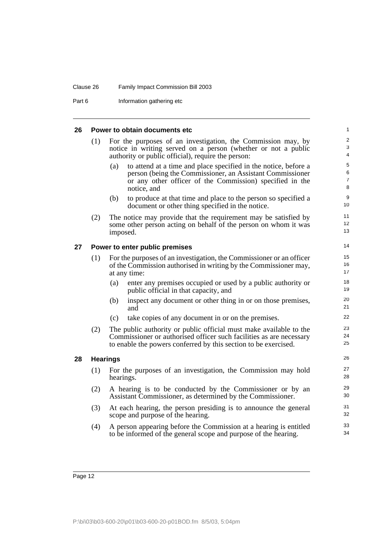#### Clause 26 Family Impact Commission Bill 2003

Part 6 **Information gathering etc** 

#### <span id="page-21-2"></span><span id="page-21-1"></span><span id="page-21-0"></span>**26 Power to obtain documents etc** (1) For the purposes of an investigation, the Commission may, by notice in writing served on a person (whether or not a public authority or public official), require the person: (a) to attend at a time and place specified in the notice, before a person (being the Commissioner, an Assistant Commissioner or any other officer of the Commission) specified in the notice, and (b) to produce at that time and place to the person so specified a document or other thing specified in the notice. (2) The notice may provide that the requirement may be satisfied by some other person acting on behalf of the person on whom it was imposed. **27 Power to enter public premises** (1) For the purposes of an investigation, the Commissioner or an officer of the Commission authorised in writing by the Commissioner may, at any time: (a) enter any premises occupied or used by a public authority or public official in that capacity, and (b) inspect any document or other thing in or on those premises, and (c) take copies of any document in or on the premises. (2) The public authority or public official must make available to the Commissioner or authorised officer such facilities as are necessary to enable the powers conferred by this section to be exercised. **28 Hearings** (1) For the purposes of an investigation, the Commission may hold hearings. (2) A hearing is to be conducted by the Commissioner or by an Assistant Commissioner, as determined by the Commissioner. (3) At each hearing, the person presiding is to announce the general scope and purpose of the hearing. (4) A person appearing before the Commission at a hearing is entitled to be informed of the general scope and purpose of the hearing. 1 2 3 4 5 6 7 8 9 10 11 12 13 14 15 16 17 18 19 20 21 22 23 24 25 26 27 28 29 30 31 32 33 34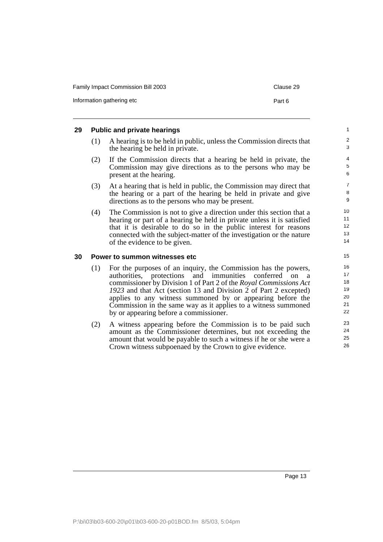| <b>Family Impact Commission Bill 2003</b> | Clause 29 |
|-------------------------------------------|-----------|
| Information gathering etc                 | Part 6    |

#### <span id="page-22-0"></span>**29 Public and private hearings**

- (1) A hearing is to be held in public, unless the Commission directs that the hearing be held in private.
- (2) If the Commission directs that a hearing be held in private, the Commission may give directions as to the persons who may be present at the hearing.
- (3) At a hearing that is held in public, the Commission may direct that the hearing or a part of the hearing be held in private and give directions as to the persons who may be present.
- (4) The Commission is not to give a direction under this section that a hearing or part of a hearing be held in private unless it is satisfied that it is desirable to do so in the public interest for reasons connected with the subject-matter of the investigation or the nature of the evidence to be given.

#### <span id="page-22-1"></span>**30 Power to summon witnesses etc**

- (1) For the purposes of an inquiry, the Commission has the powers, protections and immunities conferred on a commissioner by Division 1 of Part 2 of the *Royal Commissions Act 1923* and that Act (section 13 and Division 2 of Part 2 excepted) applies to any witness summoned by or appearing before the Commission in the same way as it applies to a witness summoned by or appearing before a commissioner.
- (2) A witness appearing before the Commission is to be paid such amount as the Commissioner determines, but not exceeding the amount that would be payable to such a witness if he or she were a Crown witness subpoenaed by the Crown to give evidence.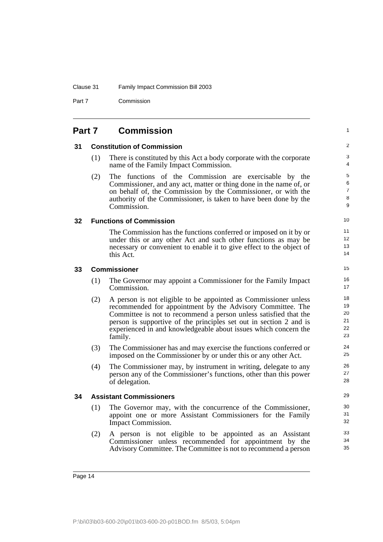Part 7 Commission

<span id="page-23-4"></span><span id="page-23-3"></span><span id="page-23-2"></span><span id="page-23-1"></span><span id="page-23-0"></span>

| Part 7 |     | <b>Commission</b>                                                                                                                                                                                                                                                                                                                                     | $\mathbf{1}$                       |  |
|--------|-----|-------------------------------------------------------------------------------------------------------------------------------------------------------------------------------------------------------------------------------------------------------------------------------------------------------------------------------------------------------|------------------------------------|--|
| 31     |     | <b>Constitution of Commission</b>                                                                                                                                                                                                                                                                                                                     |                                    |  |
|        | (1) | There is constituted by this Act a body corporate with the corporate<br>name of the Family Impact Commission.                                                                                                                                                                                                                                         | 3<br>4                             |  |
|        | (2) | The functions of the Commission are exercisable by the<br>Commissioner, and any act, matter or thing done in the name of, or<br>on behalf of, the Commission by the Commissioner, or with the<br>authority of the Commissioner, is taken to have been done by the<br>Commission.                                                                      | 5<br>6<br>$\overline{7}$<br>8<br>9 |  |
| 32     |     | <b>Functions of Commission</b>                                                                                                                                                                                                                                                                                                                        | 10                                 |  |
|        |     | The Commission has the functions conferred or imposed on it by or<br>under this or any other Act and such other functions as may be<br>necessary or convenient to enable it to give effect to the object of<br>this Act.                                                                                                                              | 11<br>12 <sup>°</sup><br>13<br>14  |  |
| 33     |     | <b>Commissioner</b>                                                                                                                                                                                                                                                                                                                                   | 15                                 |  |
|        | (1) | The Governor may appoint a Commissioner for the Family Impact<br>Commission.                                                                                                                                                                                                                                                                          | 16<br>17                           |  |
|        | (2) | A person is not eligible to be appointed as Commissioner unless<br>recommended for appointment by the Advisory Committee. The<br>Committee is not to recommend a person unless satisfied that the<br>person is supportive of the principles set out in section 2 and is<br>experienced in and knowledgeable about issues which concern the<br>family. | 18<br>19<br>20<br>21<br>22<br>23   |  |
|        | (3) | The Commissioner has and may exercise the functions conferred or<br>imposed on the Commissioner by or under this or any other Act.                                                                                                                                                                                                                    | 24<br>25                           |  |
|        | (4) | The Commissioner may, by instrument in writing, delegate to any<br>person any of the Commissioner's functions, other than this power<br>of delegation.                                                                                                                                                                                                | 26<br>27<br>28                     |  |
| 34     |     | <b>Assistant Commissioners</b>                                                                                                                                                                                                                                                                                                                        | 29                                 |  |
|        | (1) | The Governor may, with the concurrence of the Commissioner,<br>appoint one or more Assistant Commissioners for the Family<br>Impact Commission.                                                                                                                                                                                                       | 30<br>31<br>32                     |  |
|        | (2) | A person is not eligible to be appointed as an Assistant<br>Commissioner unless recommended for appointment by the<br>Advisory Committee. The Committee is not to recommend a person                                                                                                                                                                  | 33<br>34<br>35                     |  |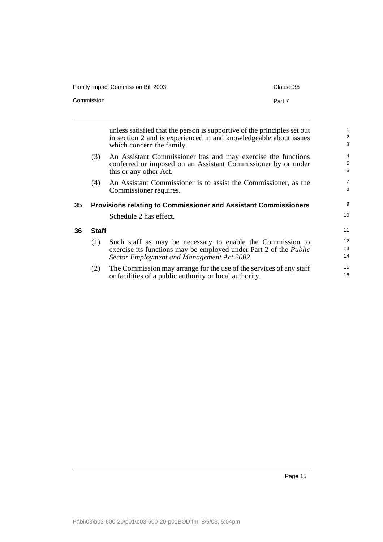| <b>Family Impact Commission Bill 2003</b> | Clause 35 |
|-------------------------------------------|-----------|
| Commission                                | Part 7    |

unless satisfied that the person is supportive of the principles set out in section 2 and is experienced in and knowledgeable about issues which concern the family.

- (3) An Assistant Commissioner has and may exercise the functions conferred or imposed on an Assistant Commissioner by or under this or any other Act.
- (4) An Assistant Commissioner is to assist the Commissioner, as the Commissioner requires.

## <span id="page-24-0"></span>**35 Provisions relating to Commissioner and Assistant Commissioners**

Schedule 2 has effect.

#### <span id="page-24-1"></span>**36 Staff**

- (1) Such staff as may be necessary to enable the Commission to exercise its functions may be employed under Part 2 of the *Public Sector Employment and Management Act 2002*.
- (2) The Commission may arrange for the use of the services of any staff or facilities of a public authority or local authority.

9 10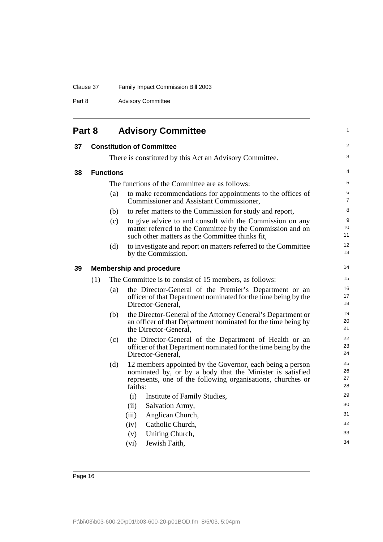Part 8 **Advisory Committee** 

<span id="page-25-3"></span><span id="page-25-2"></span><span id="page-25-1"></span><span id="page-25-0"></span>

| Part 8 |     |                  | <b>Advisory Committee</b>                                                                                                                                                                        |                      |
|--------|-----|------------------|--------------------------------------------------------------------------------------------------------------------------------------------------------------------------------------------------|----------------------|
| 37     |     |                  | <b>Constitution of Committee</b>                                                                                                                                                                 | 2                    |
|        |     |                  | There is constituted by this Act an Advisory Committee.                                                                                                                                          | 3                    |
| 38     |     | <b>Functions</b> |                                                                                                                                                                                                  | 4                    |
|        |     |                  | The functions of the Committee are as follows:                                                                                                                                                   | 5                    |
|        |     | (a)              | to make recommendations for appointments to the offices of<br>Commissioner and Assistant Commissioner,                                                                                           | 6<br>7               |
|        |     | (b)              | to refer matters to the Commission for study and report,                                                                                                                                         | 8                    |
|        |     | (c)              | to give advice to and consult with the Commission on any<br>matter referred to the Committee by the Commission and on<br>such other matters as the Committee thinks fit.                         | 9<br>10<br>11        |
|        |     | (d)              | to investigate and report on matters referred to the Committee<br>by the Commission.                                                                                                             | 12<br>13             |
| 39     |     |                  | <b>Membership and procedure</b>                                                                                                                                                                  | 14                   |
|        | (1) |                  | The Committee is to consist of 15 members, as follows:                                                                                                                                           | 15                   |
|        |     | (a)              | the Director-General of the Premier's Department or an<br>officer of that Department nominated for the time being by the<br>Director-General.                                                    | 16<br>17<br>18       |
|        |     | (b)              | the Director-General of the Attorney General's Department or<br>an officer of that Department nominated for the time being by<br>the Director-General,                                           | 19<br>20<br>21       |
|        |     | (c)              | the Director-General of the Department of Health or an<br>officer of that Department nominated for the time being by the<br>Director-General.                                                    | 22<br>23<br>24       |
|        |     | (d)              | 12 members appointed by the Governor, each being a person<br>nominated by, or by a body that the Minister is satisfied<br>represents, one of the following organisations, churches or<br>faiths: | 25<br>26<br>27<br>28 |
|        |     |                  | Institute of Family Studies,<br>(i)                                                                                                                                                              | 29                   |
|        |     |                  | Salvation Army,<br>(ii)                                                                                                                                                                          | 30                   |
|        |     |                  | (iii)<br>Anglican Church,                                                                                                                                                                        | 31                   |
|        |     |                  | Catholic Church,<br>(iv)                                                                                                                                                                         | 32                   |
|        |     |                  | Uniting Church,<br>(v)<br>Jewish Faith,<br>(vi)                                                                                                                                                  | 33<br>34             |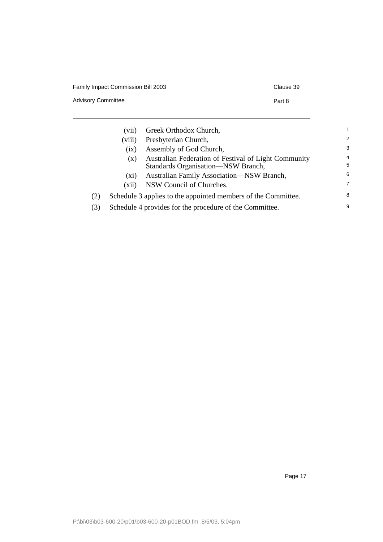Advisory Committee **Part 8** 

|     | $(v_{11})$ | Greek Orthodox Church,                                                                     |                |
|-----|------------|--------------------------------------------------------------------------------------------|----------------|
|     | (viii)     | Presbyterian Church,                                                                       | $\overline{2}$ |
|     | (ix)       | Assembly of God Church,                                                                    | 3              |
|     | (X)        | Australian Federation of Festival of Light Community<br>Standards Organisation—NSW Branch, | 4<br>5         |
|     | (X1)       | Australian Family Association-NSW Branch,                                                  | 6              |
|     | (xii)      | NSW Council of Churches.                                                                   | $\overline{7}$ |
| (2) |            | Schedule 3 applies to the appointed members of the Committee.                              | 8              |
| (3) |            | Schedule 4 provides for the procedure of the Committee.                                    | 9              |

Page 17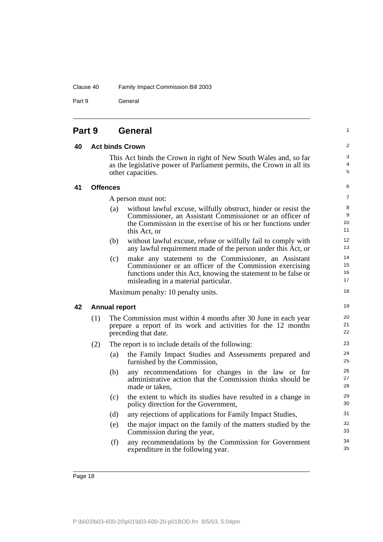Clause 40 Family Impact Commission Bill 2003

Part 9 **General** 

### <span id="page-27-0"></span>**Part 9 General**

#### <span id="page-27-1"></span>**40 Act binds Crown**

This Act binds the Crown in right of New South Wales and, so far as the legislative power of Parliament permits, the Crown in all its other capacities.

1

#### <span id="page-27-2"></span>**41 Offences**

A person must not:

- (a) without lawful excuse, wilfully obstruct, hinder or resist the Commissioner, an Assistant Commissioner or an officer of the Commission in the exercise of his or her functions under this Act, or
- (b) without lawful excuse, refuse or wilfully fail to comply with any lawful requirement made of the person under this Act, or
- (c) make any statement to the Commissioner, an Assistant Commissioner or an officer of the Commission exercising functions under this Act, knowing the statement to be false or misleading in a material particular.

Maximum penalty: 10 penalty units.

#### <span id="page-27-3"></span>**42 Annual report**

(1) The Commission must within 4 months after 30 June in each year prepare a report of its work and activities for the 12 months preceding that date.

#### (2) The report is to include details of the following:

- (a) the Family Impact Studies and Assessments prepared and furnished by the Commission,
- (b) any recommendations for changes in the law or for administrative action that the Commission thinks should be made or taken,
- (c) the extent to which its studies have resulted in a change in policy direction for the Government,
- (d) any rejections of applications for Family Impact Studies,
- (e) the major impact on the family of the matters studied by the Commission during the year,
- (f) any recommendations by the Commission for Government expenditure in the following year.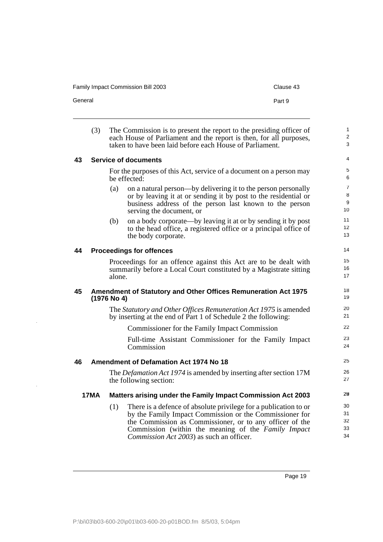<span id="page-28-0"></span>

| General |             |               | Part 9                                                                                                                                                                                                                                                                                             |                                     |
|---------|-------------|---------------|----------------------------------------------------------------------------------------------------------------------------------------------------------------------------------------------------------------------------------------------------------------------------------------------------|-------------------------------------|
|         | (3)         |               | The Commission is to present the report to the presiding officer of<br>each House of Parliament and the report is then, for all purposes,<br>taken to have been laid before each House of Parliament.                                                                                              | $\mathbf{1}$<br>$\overline{2}$<br>3 |
| 43      |             |               | <b>Service of documents</b>                                                                                                                                                                                                                                                                        | 4                                   |
|         |             |               | For the purposes of this Act, service of a document on a person may<br>be effected:                                                                                                                                                                                                                | 5<br>6                              |
|         |             | (a)           | on a natural person—by delivering it to the person personally<br>or by leaving it at or sending it by post to the residential or<br>business address of the person last known to the person<br>serving the document, or                                                                            | $\overline{7}$<br>8<br>9<br>10      |
|         |             | (b)           | on a body corporate—by leaving it at or by sending it by post<br>to the head office, a registered office or a principal office of<br>the body corporate.                                                                                                                                           | 11<br>12<br>13                      |
| 44      |             |               | <b>Proceedings for offences</b>                                                                                                                                                                                                                                                                    | 14                                  |
|         |             | alone.        | Proceedings for an offence against this Act are to be dealt with<br>summarily before a Local Court constituted by a Magistrate sitting                                                                                                                                                             | 15<br>16<br>17                      |
| 45      |             | $(1976$ No 4) | Amendment of Statutory and Other Offices Remuneration Act 1975                                                                                                                                                                                                                                     | 18<br>19                            |
|         |             |               | The Statutory and Other Offices Remuneration Act 1975 is amended<br>by inserting at the end of Part 1 of Schedule 2 the following:                                                                                                                                                                 | 20<br>21                            |
|         |             |               | Commissioner for the Family Impact Commission                                                                                                                                                                                                                                                      | 22                                  |
|         |             |               | Full-time Assistant Commissioner for the Family Impact<br>Commission                                                                                                                                                                                                                               | 23<br>24                            |
| 46      |             |               | <b>Amendment of Defamation Act 1974 No 18</b>                                                                                                                                                                                                                                                      | 25                                  |
|         |             |               | The <i>Defamation Act 1974</i> is amended by inserting after section 17M<br>the following section:                                                                                                                                                                                                 | 26<br>27                            |
|         | <b>17MA</b> |               | Matters arising under the Family Impact Commission Act 2003                                                                                                                                                                                                                                        | 29                                  |
|         |             | (1)           | There is a defence of absolute privilege for a publication to or<br>by the Family Impact Commission or the Commissioner for<br>the Commission as Commissioner, or to any officer of the<br>Commission (within the meaning of the Family Impact<br><i>Commission Act 2003</i> ) as such an officer. | 30<br>31<br>32<br>33<br>34          |

<span id="page-28-3"></span><span id="page-28-2"></span><span id="page-28-1"></span> $\ddot{\phantom{a}}$ 

Family Impact Commission Bill 2003 Clause 43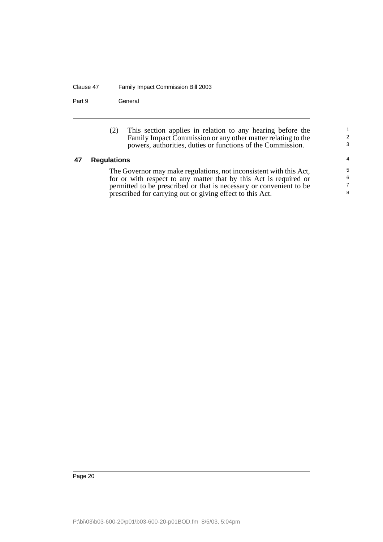#### Clause 47 Family Impact Commission Bill 2003

Part 9 **General** 

(2) This section applies in relation to any hearing before the Family Impact Commission or any other matter relating to the powers, authorities, duties or functions of the Commission.

1 2 3

#### <span id="page-29-0"></span>**47 Regulations**

The Governor may make regulations, not inconsistent with this Act, for or with respect to any matter that by this Act is required or permitted to be prescribed or that is necessary or convenient to be prescribed for carrying out or giving effect to this Act.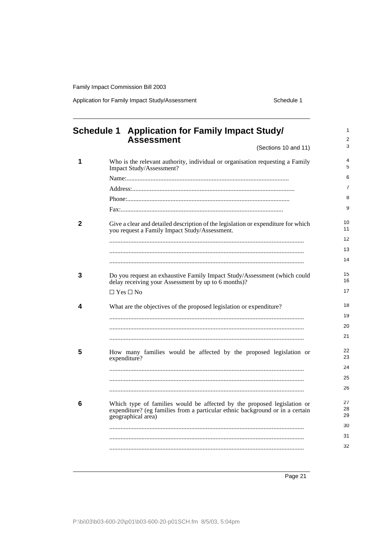Application for Family Impact Study/Assessment Schedule 1

<span id="page-30-0"></span>

|   | Schedule 1 Application for Family Impact Study/<br><b>Assessment</b>                                                                                                           |  |
|---|--------------------------------------------------------------------------------------------------------------------------------------------------------------------------------|--|
|   | (Sections 10 and 11)                                                                                                                                                           |  |
|   | Who is the relevant authority, individual or organisation requesting a Family<br>Impact Study/Assessment?                                                                      |  |
|   |                                                                                                                                                                                |  |
|   |                                                                                                                                                                                |  |
|   |                                                                                                                                                                                |  |
|   |                                                                                                                                                                                |  |
|   | Give a clear and detailed description of the legislation or expenditure for which<br>you request a Family Impact Study/Assessment.                                             |  |
|   |                                                                                                                                                                                |  |
|   |                                                                                                                                                                                |  |
|   |                                                                                                                                                                                |  |
|   | Do you request an exhaustive Family Impact Study/Assessment (which could<br>delay receiving your Assessment by up to 6 months)?                                                |  |
|   | $\Box$ Yes $\Box$ No                                                                                                                                                           |  |
|   | What are the objectives of the proposed legislation or expenditure?                                                                                                            |  |
|   |                                                                                                                                                                                |  |
|   |                                                                                                                                                                                |  |
|   |                                                                                                                                                                                |  |
| 5 | How many families would be affected by the proposed legislation or<br>expenditure?                                                                                             |  |
|   |                                                                                                                                                                                |  |
|   |                                                                                                                                                                                |  |
|   |                                                                                                                                                                                |  |
|   | Which type of families would be affected by the proposed legislation or<br>expenditure? (eg families from a particular ethnic background or in a certain<br>geographical area) |  |
|   |                                                                                                                                                                                |  |
|   |                                                                                                                                                                                |  |
|   |                                                                                                                                                                                |  |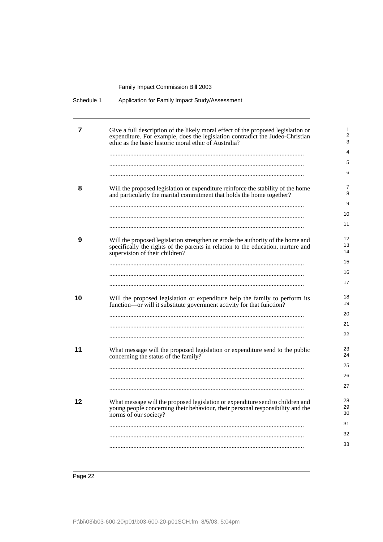| Schedule 1 | Application for Family Impact Study/Assessment                                                                                                                                                                              |                                           |
|------------|-----------------------------------------------------------------------------------------------------------------------------------------------------------------------------------------------------------------------------|-------------------------------------------|
| 7          | Give a full description of the likely moral effect of the proposed legislation or<br>expenditure. For example, does the legislation contradict the Judeo-Christian<br>ethic as the basic historic moral ethic of Australia? | $\mathbf{1}$<br>2<br>3<br>4               |
| 8          | Will the proposed legislation or expenditure reinforce the stability of the home<br>and particularly the marital commitment that holds the home together?                                                                   | 5<br>6<br>7<br>8<br>9                     |
|            |                                                                                                                                                                                                                             | 10<br>11                                  |
| 9          | Will the proposed legislation strengthen or erode the authority of the home and<br>specifically the rights of the parents in relation to the education, nurture and<br>supervision of their children?                       | $12 \overline{ }$<br>13<br>14<br>15<br>16 |
|            |                                                                                                                                                                                                                             | 17                                        |
| 10         | Will the proposed legislation or expenditure help the family to perform its<br>function—or will it substitute government activity for that function?                                                                        | 18<br>19<br>20<br>21<br>22                |
| 11         | What message will the proposed legislation or expenditure send to the public<br>concerning the status of the family?                                                                                                        | 23<br>24<br>25<br>26                      |
|            |                                                                                                                                                                                                                             | 27                                        |
| 12         | What message will the proposed legislation or expenditure send to children and<br>young people concerning their behaviour, their personal responsibility and the<br>norms of our society?                                   | 28<br>29<br>30                            |
|            |                                                                                                                                                                                                                             | 31                                        |
|            |                                                                                                                                                                                                                             | 32                                        |
|            |                                                                                                                                                                                                                             | 33                                        |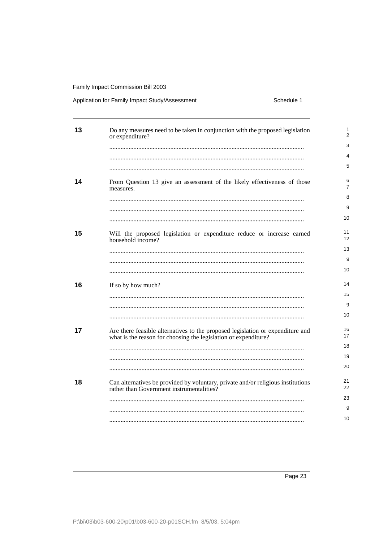#### Application for Family Impact Study/Assessment

Schedule 1

| 13 | Do any measures need to be taken in conjunction with the proposed legislation<br>or expenditure?                                                  | 1<br>$\overline{2}$     |
|----|---------------------------------------------------------------------------------------------------------------------------------------------------|-------------------------|
|    |                                                                                                                                                   | 3                       |
|    |                                                                                                                                                   | 4                       |
|    |                                                                                                                                                   | 5                       |
| 14 | From Question 13 give an assessment of the likely effectiveness of those                                                                          | 6                       |
|    | measures.                                                                                                                                         | $\overline{7}$          |
|    |                                                                                                                                                   | 8                       |
|    |                                                                                                                                                   | 9                       |
|    |                                                                                                                                                   | 10                      |
| 15 | Will the proposed legislation or expenditure reduce or increase earned<br>household income?                                                       | 11<br>$12 \overline{ }$ |
|    |                                                                                                                                                   | 13                      |
|    |                                                                                                                                                   | 9                       |
|    |                                                                                                                                                   | 10                      |
|    |                                                                                                                                                   |                         |
| 16 | If so by how much?                                                                                                                                | 14                      |
|    |                                                                                                                                                   | 15                      |
|    |                                                                                                                                                   | 9                       |
|    |                                                                                                                                                   | 10                      |
| 17 | Are there feasible alternatives to the proposed legislation or expenditure and<br>what is the reason for choosing the legislation or expenditure? | 16<br>17                |
|    |                                                                                                                                                   | 18                      |
|    |                                                                                                                                                   | 19                      |
|    |                                                                                                                                                   | 20                      |
|    |                                                                                                                                                   | 21                      |
| 18 | Can alternatives be provided by voluntary, private and/or religious institutions<br>rather than Government instrumentalities?                     | 22                      |
|    |                                                                                                                                                   | 23                      |
|    |                                                                                                                                                   | 9                       |
|    |                                                                                                                                                   | 10                      |
|    |                                                                                                                                                   |                         |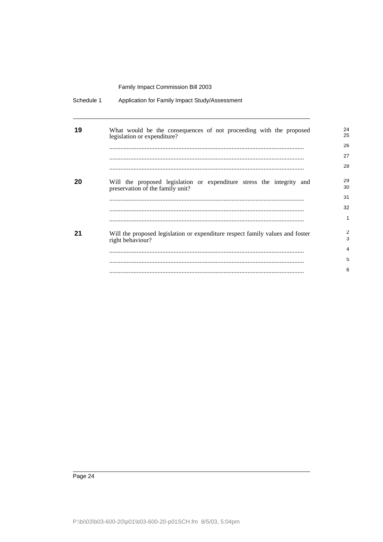| Schedule 1 | Application for Family Impact Study/Assessment                                                            |          |
|------------|-----------------------------------------------------------------------------------------------------------|----------|
| 19         | What would be the consequences of not proceeding with the proposed<br>legislation or expenditure?         | 24<br>25 |
|            |                                                                                                           | 26<br>27 |
|            |                                                                                                           | 28       |
|            |                                                                                                           |          |
| 20         | Will the proposed legislation or expenditure stress the integrity and<br>preservation of the family unit? | 29<br>30 |
|            |                                                                                                           | 31       |
|            |                                                                                                           | 32       |
|            |                                                                                                           | 1        |
| 21         | Will the proposed legislation or expenditure respect family values and foster<br>right behaviour?         | 2<br>3   |
|            |                                                                                                           | 4        |
|            |                                                                                                           | 5        |
|            |                                                                                                           | 6        |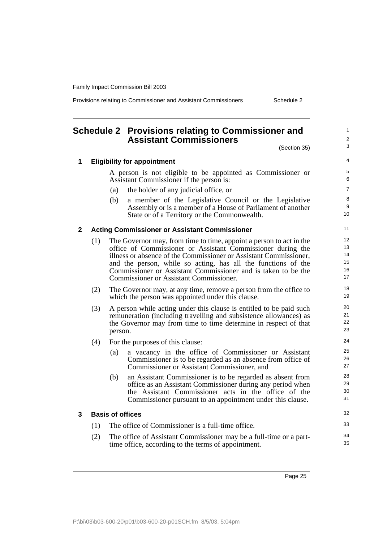Provisions relating to Commissioner and Assistant Commissioners Schedule 2

## <span id="page-34-0"></span>**Schedule 2 Provisions relating to Commissioner and Assistant Commissioners**

(Section 35) **1 Eligibility for appointment** A person is not eligible to be appointed as Commissioner or Assistant Commissioner if the person is: (a) the holder of any judicial office, or (b) a member of the Legislative Council or the Legislative Assembly or is a member of a House of Parliament of another State or of a Territory or the Commonwealth. (1) The Governor may, from time to time, appoint a person to act in the office of Commissioner or Assistant Commissioner during the illness or absence of the Commissioner or Assistant Commissioner, and the person, while so acting, has all the functions of the Commissioner or Assistant Commissioner and is taken to be the Commissioner or Assistant Commissioner. (2) The Governor may, at any time, remove a person from the office to which the person was appointed under this clause. (3) A person while acting under this clause is entitled to be paid such remuneration (including travelling and subsistence allowances) as the Governor may from time to time determine in respect of that person. (4) For the purposes of this clause: (a) a vacancy in the office of Commissioner or Assistant Commissioner is to be regarded as an absence from office of Commissioner or Assistant Commissioner, and (b) an Assistant Commissioner is to be regarded as absent from office as an Assistant Commissioner during any period when the Assistant Commissioner acts in the office of the Commissioner pursuant to an appointment under this clause. **3 Basis of offices** (1) The office of Commissioner is a full-time office.  $\mathfrak{p}$ 3 4 5 6 7 8 9 10 11 12 13 14 15 16 17 18 19 20 21 22 23  $24$ 25 26 27 28 29 30 31 32 33 34

(2) The office of Assistant Commissioner may be a full-time or a parttime office, according to the terms of appointment.

35

#### **2 Acting Commissioner or Assistant Commissioner**

1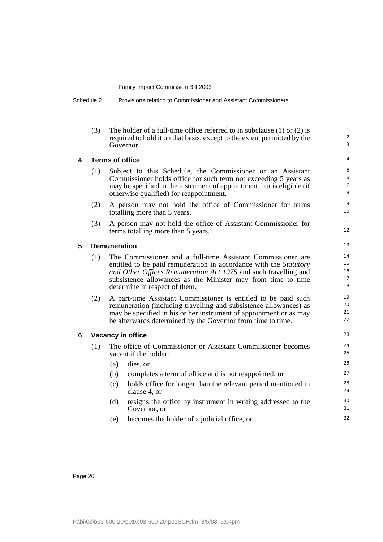Schedule 2 Provisions relating to Commissioner and Assistant Commissioners

(3) The holder of a full-time office referred to in subclause (1) or (2) is required to hold it on that basis, except to the extent permitted by the Governor.

1  $\overline{2}$ 3

#### **4 Terms of office**

- (1) Subject to this Schedule, the Commissioner or an Assistant Commissioner holds office for such term not exceeding 5 years as may be specified in the instrument of appointment, but is eligible (if otherwise qualified) for reappointment.
- (2) A person may not hold the office of Commissioner for terms totalling more than 5 years.
- (3) A person may not hold the office of Assistant Commissioner for terms totalling more than 5 years.

#### **5 Remuneration**

- (1) The Commissioner and a full-time Assistant Commissioner are entitled to be paid remuneration in accordance with the *Statutory and Other Offices Remuneration Act 1975* and such travelling and subsistence allowances as the Minister may from time to time determine in respect of them.
- (2) A part-time Assistant Commissioner is entitled to be paid such remuneration (including travelling and subsistence allowances) as may be specified in his or her instrument of appointment or as may be afterwards determined by the Governor from time to time.

#### **6 Vacancy in office**

- (1) The office of Commissioner or Assistant Commissioner becomes vacant if the holder:
	- (a) dies, or
	- (b) completes a term of office and is not reappointed, or
	- (c) holds office for longer than the relevant period mentioned in clause 4, or
	- (d) resigns the office by instrument in writing addressed to the Governor, or
	- (e) becomes the holder of a judicial office, or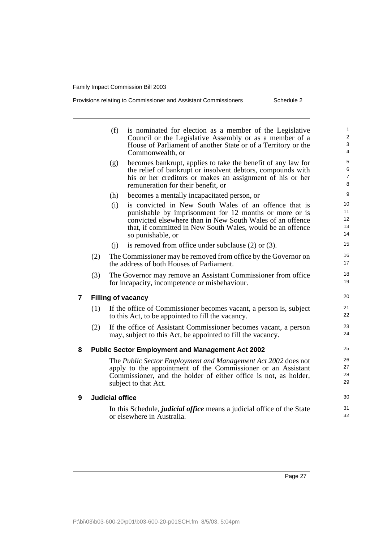| Provisions relating to Commissioner and Assistant Commissioners | Schedule 2 |
|-----------------------------------------------------------------|------------|
|                                                                 |            |

|                         |     | (f)<br>is nominated for election as a member of the Legislative<br>Council or the Legislative Assembly or as a member of a<br>House of Parliament of another State or of a Territory or the<br>Commonwealth, or                                                        | 1<br>$\overline{\mathbf{c}}$<br>3<br>4 |
|-------------------------|-----|------------------------------------------------------------------------------------------------------------------------------------------------------------------------------------------------------------------------------------------------------------------------|----------------------------------------|
|                         |     | becomes bankrupt, applies to take the benefit of any law for<br>(g)<br>the relief of bankrupt or insolvent debtors, compounds with<br>his or her creditors or makes an assignment of his or her<br>remuneration for their benefit, or                                  | 5<br>6<br>7<br>8                       |
|                         |     | (h)<br>becomes a mentally incapacitated person, or                                                                                                                                                                                                                     | 9                                      |
|                         |     | is convicted in New South Wales of an offence that is<br>(i)<br>punishable by imprisonment for 12 months or more or is<br>convicted elsewhere than in New South Wales of an offence<br>that, if committed in New South Wales, would be an offence<br>so punishable, or | 10<br>11<br>12<br>13<br>14             |
|                         |     | is removed from office under subclause $(2)$ or $(3)$ .<br>(i)                                                                                                                                                                                                         | 15                                     |
|                         | (2) | The Commissioner may be removed from office by the Governor on<br>the address of both Houses of Parliament.                                                                                                                                                            | 16<br>17                               |
|                         | (3) | The Governor may remove an Assistant Commissioner from office<br>for incapacity, incompetence or misbehaviour.                                                                                                                                                         | 18<br>19                               |
| $\overline{\mathbf{r}}$ |     | <b>Filling of vacancy</b>                                                                                                                                                                                                                                              | 20                                     |
|                         | (1) | If the office of Commissioner becomes vacant, a person is, subject<br>to this Act, to be appointed to fill the vacancy.                                                                                                                                                | 21<br>22                               |
|                         | (2) | If the office of Assistant Commissioner becomes vacant, a person<br>may, subject to this Act, be appointed to fill the vacancy.                                                                                                                                        | 23<br>24                               |
| 8                       |     | <b>Public Sector Employment and Management Act 2002</b>                                                                                                                                                                                                                | 25                                     |
|                         |     | The Public Sector Employment and Management Act 2002 does not<br>apply to the appointment of the Commissioner or an Assistant<br>Commissioner, and the holder of either office is not, as holder,<br>subject to that Act.                                              | 26<br>27<br>28<br>29                   |
| 9                       |     | <b>Judicial office</b>                                                                                                                                                                                                                                                 | 30                                     |
|                         |     | In this Schedule, <i>judicial office</i> means a judicial office of the State<br>or elsewhere in Australia.                                                                                                                                                            | 31<br>32                               |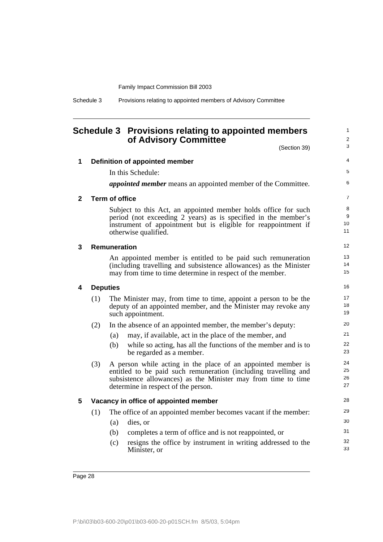| Schedule 3 | Provisions relating to appointed members of Advisory Committee |  |  |  |
|------------|----------------------------------------------------------------|--|--|--|
|            |                                                                |  |  |  |

## <span id="page-37-0"></span>**Schedule 3 Provisions relating to appointed members of Advisory Committee**

1

|   |     | of Advisory Committee                                                                                                                                                                                                                   | (Section 39) | $\overline{\mathbf{c}}$<br>3 |
|---|-----|-----------------------------------------------------------------------------------------------------------------------------------------------------------------------------------------------------------------------------------------|--------------|------------------------------|
| 1 |     | Definition of appointed member                                                                                                                                                                                                          |              | 4                            |
|   |     | In this Schedule:                                                                                                                                                                                                                       |              | 5                            |
|   |     | <i>appointed member</i> means an appointed member of the Committee.                                                                                                                                                                     |              | 6                            |
| 2 |     | <b>Term of office</b>                                                                                                                                                                                                                   |              | 7                            |
|   |     | Subject to this Act, an appointed member holds office for such<br>period (not exceeding 2 years) as is specified in the member's<br>instrument of appointment but is eligible for reappointment if<br>otherwise qualified.              |              | 8<br>9<br>10<br>11           |
| 3 |     | <b>Remuneration</b>                                                                                                                                                                                                                     |              | 12                           |
|   |     | An appointed member is entitled to be paid such remuneration<br>(including travelling and subsistence allowances) as the Minister<br>may from time to time determine in respect of the member.                                          |              | 13<br>14<br>15               |
| 4 |     | <b>Deputies</b>                                                                                                                                                                                                                         |              | 16                           |
|   | (1) | The Minister may, from time to time, appoint a person to be the<br>deputy of an appointed member, and the Minister may revoke any<br>such appointment.                                                                                  |              | 17<br>18<br>19               |
|   | (2) | In the absence of an appointed member, the member's deputy:                                                                                                                                                                             |              | 20                           |
|   |     | may, if available, act in the place of the member, and<br>(a)                                                                                                                                                                           |              | 21                           |
|   |     | while so acting, has all the functions of the member and is to<br>(b)<br>be regarded as a member.                                                                                                                                       |              | 22<br>23                     |
|   | (3) | A person while acting in the place of an appointed member is<br>entitled to be paid such remuneration (including travelling and<br>subsistence allowances) as the Minister may from time to time<br>determine in respect of the person. |              | 24<br>25<br>26<br>27         |
| 5 |     | Vacancy in office of appointed member                                                                                                                                                                                                   |              | 28                           |
|   | (1) | The office of an appointed member becomes vacant if the member:                                                                                                                                                                         |              | 29                           |
|   |     | dies, or<br>(a)                                                                                                                                                                                                                         |              | 30                           |
|   |     | completes a term of office and is not reappointed, or<br>(b)                                                                                                                                                                            |              | 31                           |
|   |     | (c)<br>resigns the office by instrument in writing addressed to the<br>Minister, or                                                                                                                                                     |              | 32<br>33                     |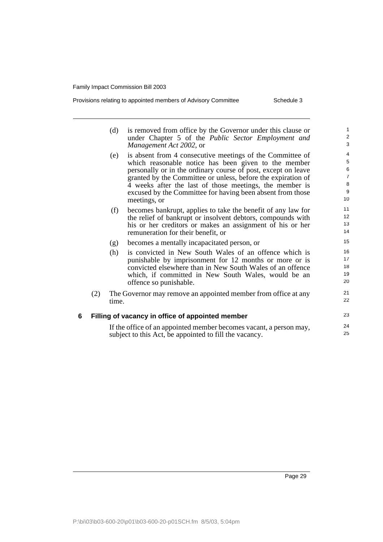| Provisions relating to appointed members of Advisory Committee |
|----------------------------------------------------------------|
|----------------------------------------------------------------|

Schedule 3

|   |     | (d)   | is removed from office by the Governor under this clause or<br>under Chapter 5 of the Public Sector Employment and | $\mathbf{1}$<br>$\mathbf 2$ |
|---|-----|-------|--------------------------------------------------------------------------------------------------------------------|-----------------------------|
|   |     |       | Management Act 2002, or                                                                                            | 3                           |
|   |     | (e)   | is absent from 4 consecutive meetings of the Committee of                                                          | 4                           |
|   |     |       | which reasonable notice has been given to the member                                                               | $\sqrt{5}$                  |
|   |     |       | personally or in the ordinary course of post, except on leave                                                      | $\,6$                       |
|   |     |       | granted by the Committee or unless, before the expiration of                                                       | $\overline{7}$              |
|   |     |       | 4 weeks after the last of those meetings, the member is                                                            | $\bf8$                      |
|   |     |       | excused by the Committee for having been absent from those                                                         | $\boldsymbol{9}$<br>10      |
|   |     |       | meetings, or                                                                                                       |                             |
|   |     | (f)   | becomes bankrupt, applies to take the benefit of any law for                                                       | 11                          |
|   |     |       | the relief of bankrupt or insolvent debtors, compounds with                                                        | 12                          |
|   |     |       | his or her creditors or makes an assignment of his or her                                                          | 13                          |
|   |     |       | remuneration for their benefit, or                                                                                 | 14                          |
|   |     | (g)   | becomes a mentally incapacitated person, or                                                                        | 15                          |
|   |     | (h)   | is convicted in New South Wales of an offence which is                                                             | 16                          |
|   |     |       | punishable by imprisonment for 12 months or more or is                                                             | 17                          |
|   |     |       | convicted elsewhere than in New South Wales of an offence                                                          | 18                          |
|   |     |       | which, if committed in New South Wales, would be an                                                                | 19                          |
|   |     |       | offence so punishable.                                                                                             | 20                          |
|   | (2) |       | The Governor may remove an appointed member from office at any                                                     | 21                          |
|   |     | time. |                                                                                                                    | 22                          |
| 6 |     |       | Filling of vacancy in office of appointed member                                                                   | 23                          |
|   |     |       | If the office of an appointed member becomes vacant, a person may,                                                 | 24                          |
|   |     |       | subject to this Act, be appointed to fill the vacancy.                                                             | 25                          |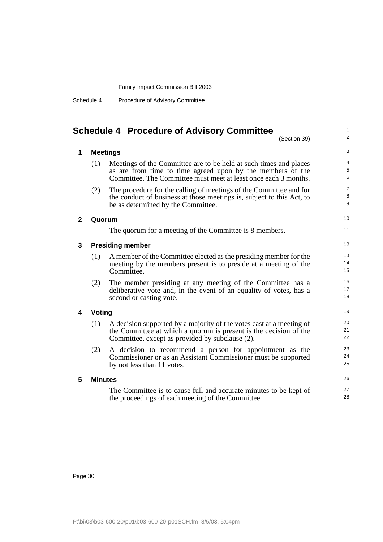Schedule 4 Procedure of Advisory Committee

## <span id="page-39-0"></span>**Schedule 4 Procedure of Advisory Committee**

(Section 39)

1 2

3

|  | <b>Meetings</b> |
|--|-----------------|
|--|-----------------|

**2 Quorum**

**4 Voting**

**5 Minutes**

|   | (1)            | Meetings of the Committee are to be held at such times and places<br>as are from time to time agreed upon by the members of the<br>Committee. The Committee must meet at least once each 3 months. | $\overline{4}$<br>5<br>6 |
|---|----------------|----------------------------------------------------------------------------------------------------------------------------------------------------------------------------------------------------|--------------------------|
|   | (2)            | The procedure for the calling of meetings of the Committee and for<br>the conduct of business at those meetings is, subject to this Act, to<br>be as determined by the Committee.                  | $\overline{7}$<br>8<br>9 |
| 2 | Quorum         |                                                                                                                                                                                                    | 10 <sup>1</sup>          |
|   |                | The quorum for a meeting of the Committee is 8 members.                                                                                                                                            | 11                       |
| 3 |                | <b>Presiding member</b>                                                                                                                                                                            | 12 <sup>°</sup>          |
|   | (1)            | A member of the Committee elected as the presiding member for the<br>meeting by the members present is to preside at a meeting of the<br>Committee.                                                | 13<br>14<br>15           |
|   | (2)            | The member presiding at any meeting of the Committee has a<br>deliberative vote and, in the event of an equality of votes, has a<br>second or casting vote.                                        | 16<br>17<br>18           |
| 4 | Voting         |                                                                                                                                                                                                    | 19                       |
|   | (1)            | A decision supported by a majority of the votes cast at a meeting of<br>the Committee at which a quorum is present is the decision of the<br>Committee, except as provided by subclause (2).       | 20<br>21<br>22           |
|   | (2)            | A decision to recommend a person for appointment as the<br>Commissioner or as an Assistant Commissioner must be supported<br>by not less than 11 votes.                                            | 23<br>24<br>25           |
| 5 | <b>Minutes</b> |                                                                                                                                                                                                    | 26                       |
|   |                | The Committee is to cause full and accurate minutes to be kept of<br>the proceedings of each meeting of the Committee                                                                              | 27<br>28                 |

the proceedings of each meeting of the Committee.